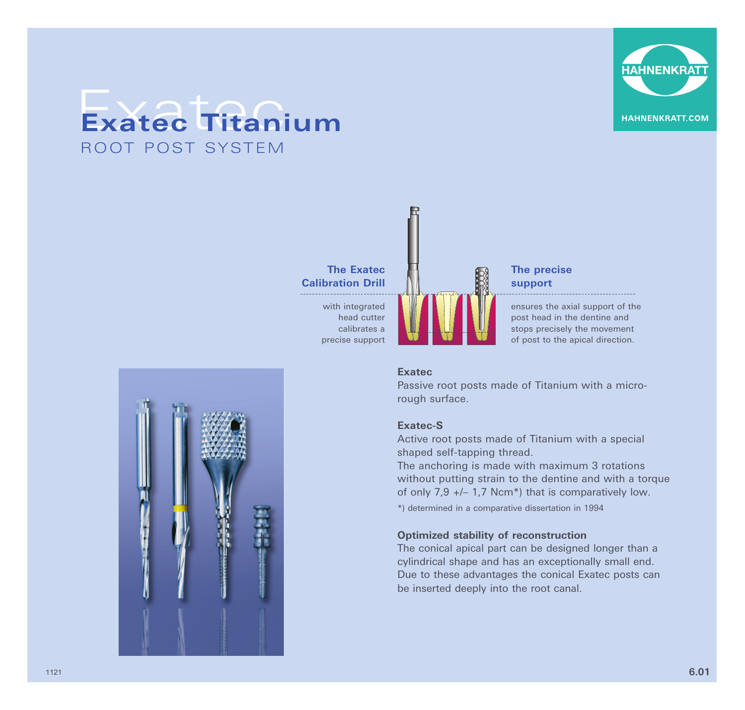

## Exatec **Exatec Titanium** ROOT POST SYSTEM



## **The precise support**

ensures the axial support of the post head in the dentine and stops precisely the movement of post to the apical direction.

#### **Exatec**

Passive root posts made of Titanium with a microrough surface.

## **Exatec-S**

Active root posts made of Titanium with a special shaped self-tapping thread.

The anchoring is made with maximum 3 rotations without putting strain to the dentine and with a torque of only 7,9 +/– 1,7 Ncm\*) that is comparatively low. \*) determined in a comparative dissertation in 1994

#### **Optimized stability of reconstruction**

The conical apical part can be designed longer than a cylindrical shape and has an exceptionally small end. Due to these advantages the conical Exatec posts can be inserted deeply into the root canal.

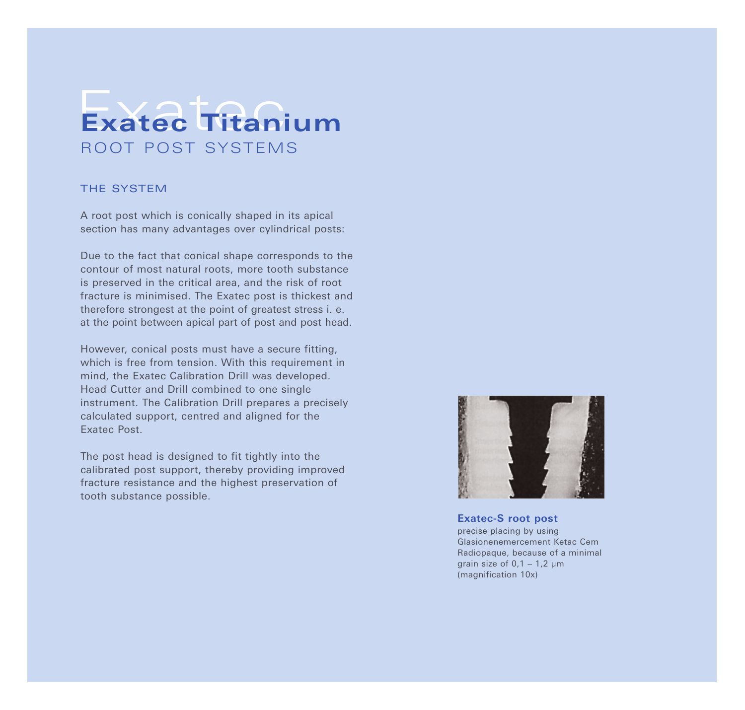# Exatec **Exatec Titanium** ROOT POST SYSTEMS

## THE SYSTEM

A root post which is conically shaped in its apical section has many advantages over cylindrical posts:

Due to the fact that conical shape corresponds to the contour of most natural roots, more tooth substance is preserved in the critical area, and the risk of root fracture is minimised. The Exatec post is thickest and therefore strongest at the point of greatest stress i. e. at the point between apical part of post and post head.

However, conical posts must have a secure fitting, which is free from tension. With this requirement in mind, the Exatec Calibration Drill was developed. Head Cutter and Drill combined to one single instrument. The Calibration Drill prepares a precisely calculated support, centred and aligned for the Exatec Post.

The post head is designed to fit tightly into the calibrated post support, thereby providing improved fracture resistance and the highest preservation of tooth substance possible.



**Exatec-S root post** precise placing by using Glasionenemercement Ketac Cem Radiopaque, because of a minimal grain size of  $0.1 - 1.2$  µm (magnification 10x)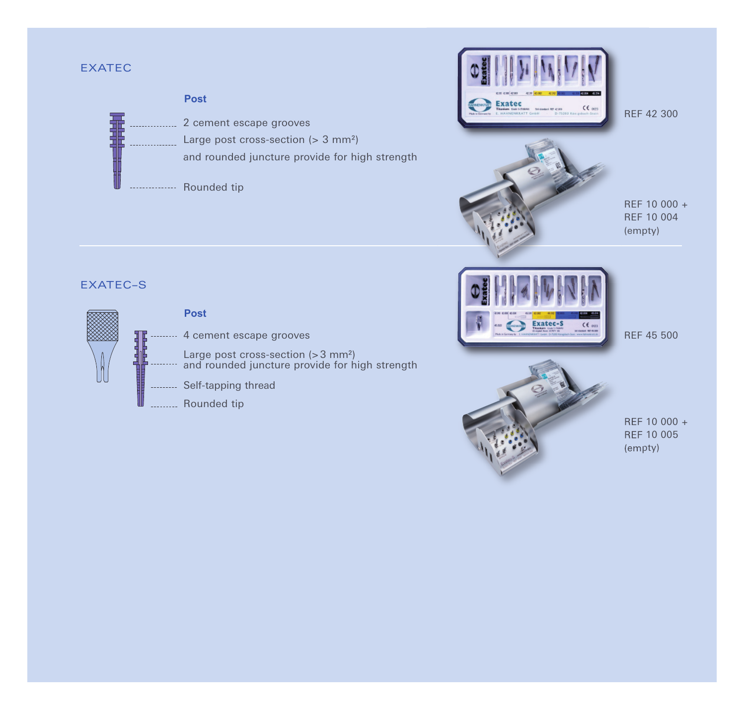## EXATEC







REF 10 000 + REF 10 004 (empty)

## EXATEC–S





REF 45 500



REF 10 000 + REF 10 005 (empty)